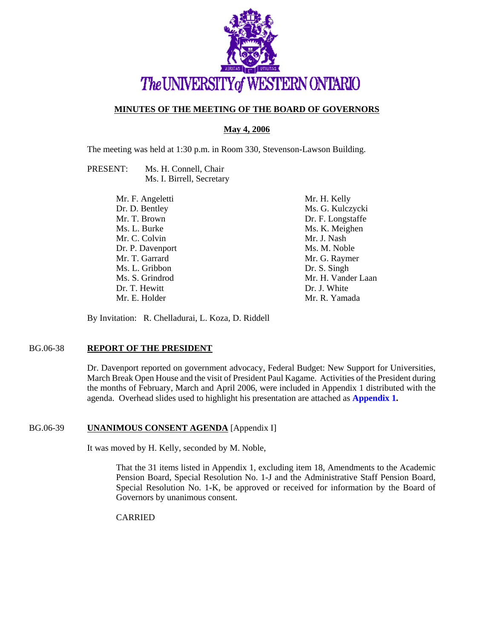

# **MINUTES OF THE MEETING OF THE BOARD OF GOVERNORS**

**May 4, 2006**

The meeting was held at 1:30 p.m. in Room 330, Stevenson-Lawson Building.

PRESENT: Ms. H. Connell, Chair Ms. I. Birrell, Secretary

> Mr. F. Angeletti Dr. D. Bentley Mr. T. Brown Ms. L. Burke Mr. C. Colvin Dr. P. Davenport Mr. T. Garrard Ms. L. Gribbon Ms. S. Grindrod Dr. T. Hewitt Mr. E. Holder Mr. H. Kelly Ms. G. Kulczycki Dr. F. Longstaffe Ms. K. Meighen Mr. J. Nash Ms. M. Noble Mr. G. Raymer Dr. S. Singh Mr. H. Vander Laan Dr. J. White Mr. R. Yamada

By Invitation: R. Chelladurai, L. Koza, D. Riddell

# BG.06-38 **REPORT OF THE PRESIDENT**

Dr. Davenport reported on government advocacy, Federal Budget: New Support for Universities, March Break Open House and the visit of President Paul Kagame. Activities of the President during the months of February, March and April 2006, were included in Appendix 1 distributed with the agenda. Overhead slides used to highlight his presentation are attached as **[Appendix 1.](#page-7-0)**

### BG.06-39 **UNANIMOUS CONSENT AGENDA** [Appendix I]

It was moved by H. Kelly, seconded by M. Noble,

That the 31 items listed in Appendix 1, excluding item 18, Amendments to the Academic Pension Board, Special Resolution No. 1-J and the Administrative Staff Pension Board, Special Resolution No. 1-K, be approved or received for information by the Board of Governors by unanimous consent.

CARRIED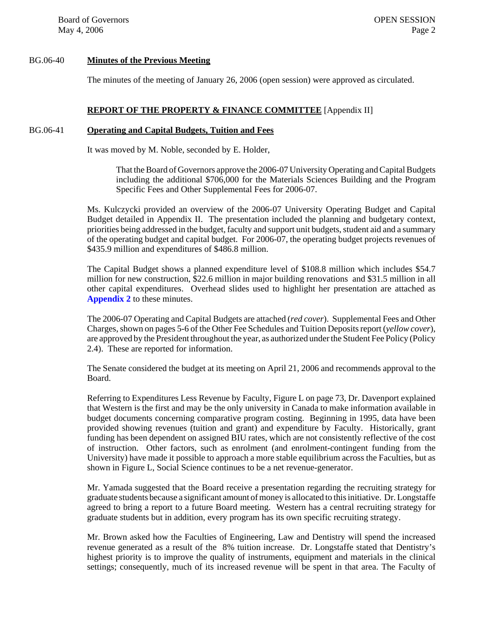### BG.06-40 **Minutes of the Previous Meeting**

The minutes of the meeting of January 26, 2006 (open session) were approved as circulated.

# **REPORT OF THE PROPERTY & FINANCE COMMITTEE** [Appendix II]

#### BG.06-41 **Operating and Capital Budgets, Tuition and Fees**

It was moved by M. Noble, seconded by E. Holder,

That the Board of Governors approve the 2006-07 University Operating and Capital Budgets including the additional \$706,000 for the Materials Sciences Building and the Program Specific Fees and Other Supplemental Fees for 2006-07.

Ms. Kulczycki provided an overview of the 2006-07 University Operating Budget and Capital Budget detailed in Appendix II. The presentation included the planning and budgetary context, priorities being addressed in the budget, faculty and support unit budgets, student aid and a summary of the operating budget and capital budget. For 2006-07, the operating budget projects revenues of \$435.9 million and expenditures of \$486.8 million.

The Capital Budget shows a planned expenditure level of \$108.8 million which includes \$54.7 million for new construction, \$22.6 million in major building renovations and \$31.5 million in all other capital expenditures. Overhead slides used to highlight her presentation are attached as **[Appendix 2](#page-10-0)** to these minutes.

The 2006-07 Operating and Capital Budgets are attached (*red cover*). Supplemental Fees and Other Charges, shown on pages 5-6 of the Other Fee Schedules and Tuition Deposits report (*yellow cover*), are approved by the President throughout the year, as authorized under the Student Fee Policy (Policy 2.4). These are reported for information.

The Senate considered the budget at its meeting on April 21, 2006 and recommends approval to the Board.

Referring to Expenditures Less Revenue by Faculty, Figure L on page 73, Dr. Davenport explained that Western is the first and may be the only university in Canada to make information available in budget documents concerning comparative program costing. Beginning in 1995, data have been provided showing revenues (tuition and grant) and expenditure by Faculty. Historically, grant funding has been dependent on assigned BIU rates, which are not consistently reflective of the cost of instruction. Other factors, such as enrolment (and enrolment-contingent funding from the University) have made it possible to approach a more stable equilibrium across the Faculties, but as shown in Figure L, Social Science continues to be a net revenue-generator.

Mr. Yamada suggested that the Board receive a presentation regarding the recruiting strategy for graduate students because a significant amount of money is allocated to this initiative. Dr. Longstaffe agreed to bring a report to a future Board meeting. Western has a central recruiting strategy for graduate students but in addition, every program has its own specific recruiting strategy.

Mr. Brown asked how the Faculties of Engineering, Law and Dentistry will spend the increased revenue generated as a result of the 8% tuition increase. Dr. Longstaffe stated that Dentistry's highest priority is to improve the quality of instruments, equipment and materials in the clinical settings; consequently, much of its increased revenue will be spent in that area. The Faculty of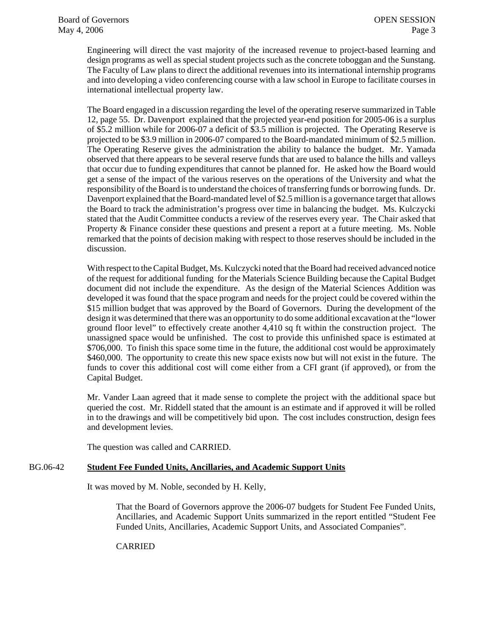Engineering will direct the vast majority of the increased revenue to project-based learning and design programs as well as special student projects such as the concrete toboggan and the Sunstang. The Faculty of Law plans to direct the additional revenues into its international internship programs and into developing a video conferencing course with a law school in Europe to facilitate courses in international intellectual property law.

The Board engaged in a discussion regarding the level of the operating reserve summarized in Table 12, page 55. Dr. Davenport explained that the projected year-end position for 2005-06 is a surplus of \$5.2 million while for 2006-07 a deficit of \$3.5 million is projected. The Operating Reserve is projected to be \$3.9 million in 2006-07 compared to the Board-mandated minimum of \$2.5 million. The Operating Reserve gives the administration the ability to balance the budget. Mr. Yamada observed that there appears to be several reserve funds that are used to balance the hills and valleys that occur due to funding expenditures that cannot be planned for. He asked how the Board would get a sense of the impact of the various reserves on the operations of the University and what the responsibility of the Board is to understand the choices of transferring funds or borrowing funds. Dr. Davenport explained that the Board-mandated level of \$2.5 million is a governance target that allows the Board to track the administration's progress over time in balancing the budget. Ms. Kulczycki stated that the Audit Committee conducts a review of the reserves every year. The Chair asked that Property & Finance consider these questions and present a report at a future meeting. Ms. Noble remarked that the points of decision making with respect to those reserves should be included in the discussion.

With respect to the Capital Budget, Ms. Kulczycki noted that the Board had received advanced notice of the request for additional funding for the Materials Science Building because the Capital Budget document did not include the expenditure. As the design of the Material Sciences Addition was developed it was found that the space program and needs for the project could be covered within the \$15 million budget that was approved by the Board of Governors. During the development of the design it was determined that there was an opportunity to do some additional excavation at the "lower ground floor level" to effectively create another 4,410 sq ft within the construction project. The unassigned space would be unfinished. The cost to provide this unfinished space is estimated at \$706,000. To finish this space some time in the future, the additional cost would be approximately \$460,000. The opportunity to create this new space exists now but will not exist in the future. The funds to cover this additional cost will come either from a CFI grant (if approved), or from the Capital Budget.

Mr. Vander Laan agreed that it made sense to complete the project with the additional space but queried the cost. Mr. Riddell stated that the amount is an estimate and if approved it will be rolled in to the drawings and will be competitively bid upon. The cost includes construction, design fees and development levies.

The question was called and CARRIED.

# BG.06-42 **Student Fee Funded Units, Ancillaries, and Academic Support Units**

It was moved by M. Noble, seconded by H. Kelly,

That the Board of Governors approve the 2006-07 budgets for Student Fee Funded Units, Ancillaries, and Academic Support Units summarized in the report entitled "Student Fee Funded Units, Ancillaries, Academic Support Units, and Associated Companies".

### CARRIED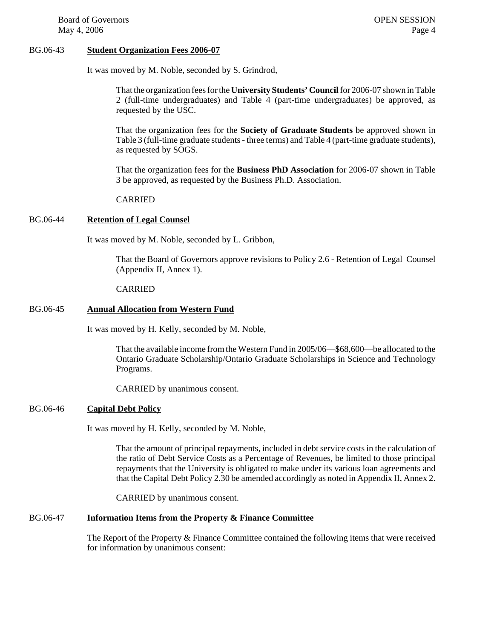#### BG.06-43 **Student Organization Fees 2006-07**

It was moved by M. Noble, seconded by S. Grindrod,

That the organization fees for the **University Students' Council** for 2006-07 shown in Table 2 (full-time undergraduates) and Table 4 (part-time undergraduates) be approved, as requested by the USC.

That the organization fees for the **Society of Graduate Students** be approved shown in Table 3 (full-time graduate students - three terms) and Table 4 (part-time graduate students), as requested by SOGS.

That the organization fees for the **Business PhD Association** for 2006-07 shown in Table 3 be approved, as requested by the Business Ph.D. Association.

#### CARRIED

### BG.06-44 **Retention of Legal Counsel**

It was moved by M. Noble, seconded by L. Gribbon,

That the Board of Governors approve revisions to Policy 2.6 - Retention of Legal Counsel (Appendix II, Annex 1).

#### CARRIED

#### BG.06-45 **Annual Allocation from Western Fund**

It was moved by H. Kelly, seconded by M. Noble,

That the available income from the Western Fund in 2005/06—\$68,600—be allocated to the Ontario Graduate Scholarship/Ontario Graduate Scholarships in Science and Technology Programs.

CARRIED by unanimous consent.

# BG.06-46 **Capital Debt Policy**

It was moved by H. Kelly, seconded by M. Noble,

That the amount of principal repayments, included in debt service costs in the calculation of the ratio of Debt Service Costs as a Percentage of Revenues, be limited to those principal repayments that the University is obligated to make under its various loan agreements and that the Capital Debt Policy 2.30 be amended accordingly as noted in Appendix II, Annex 2.

CARRIED by unanimous consent.

### BG.06-47 **Information Items from the Property & Finance Committee**

The Report of the Property & Finance Committee contained the following items that were received for information by unanimous consent: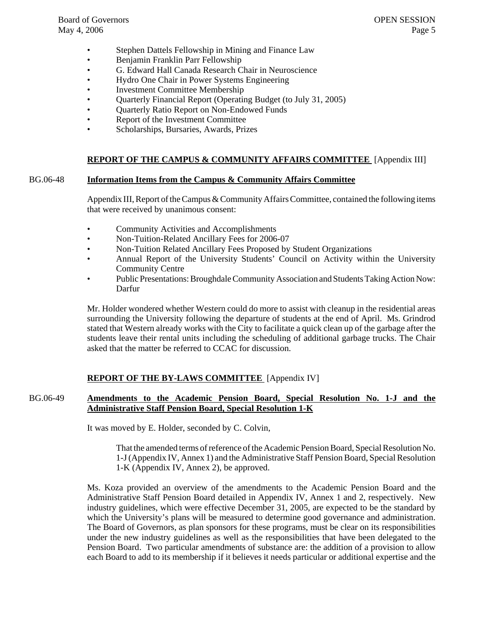- Stephen Dattels Fellowship in Mining and Finance Law
- Benjamin Franklin Parr Fellowship
- G. Edward Hall Canada Research Chair in Neuroscience
- Hydro One Chair in Power Systems Engineering
- Investment Committee Membership
- Quarterly Financial Report (Operating Budget (to July 31, 2005)
- Quarterly Ratio Report on Non-Endowed Funds
- Report of the Investment Committee
- Scholarships, Bursaries, Awards, Prizes

# **REPORT OF THE CAMPUS & COMMUNITY AFFAIRS COMMITTEE** [Appendix III]

### BG.06-48 **Information Items from the Campus & Community Affairs Committee**

Appendix III, Report of the Campus & Community Affairs Committee, contained the following items that were received by unanimous consent:

- Community Activities and Accomplishments
- Non-Tuition-Related Ancillary Fees for 2006-07
- Non-Tuition Related Ancillary Fees Proposed by Student Organizations
- Annual Report of the University Students' Council on Activity within the University Community Centre
- Public Presentations: Broughdale Community Association and Students Taking Action Now: Darfur

Mr. Holder wondered whether Western could do more to assist with cleanup in the residential areas surrounding the University following the departure of students at the end of April. Ms. Grindrod stated that Western already works with the City to facilitate a quick clean up of the garbage after the students leave their rental units including the scheduling of additional garbage trucks. The Chair asked that the matter be referred to CCAC for discussion.

### **REPORT OF THE BY-LAWS COMMITTEE** [Appendix IV]

# BG.06-49 **Amendments to the Academic Pension Board, Special Resolution No. 1-J and the Administrative Staff Pension Board, Special Resolution 1-K**

It was moved by E. Holder, seconded by C. Colvin,

That the amended terms of reference of the Academic Pension Board, Special Resolution No. 1-J (Appendix IV, Annex 1) and the Administrative Staff Pension Board, Special Resolution 1-K (Appendix IV, Annex 2), be approved.

Ms. Koza provided an overview of the amendments to the Academic Pension Board and the Administrative Staff Pension Board detailed in Appendix IV, Annex 1 and 2, respectively. New industry guidelines, which were effective December 31, 2005, are expected to be the standard by which the University's plans will be measured to determine good governance and administration. The Board of Governors, as plan sponsors for these programs, must be clear on its responsibilities under the new industry guidelines as well as the responsibilities that have been delegated to the Pension Board. Two particular amendments of substance are: the addition of a provision to allow each Board to add to its membership if it believes it needs particular or additional expertise and the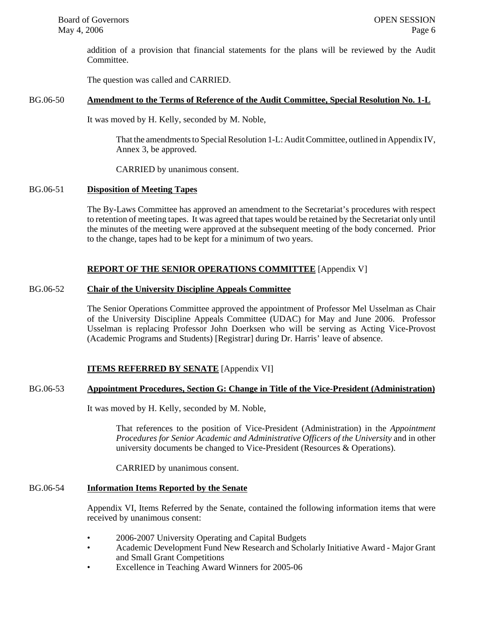addition of a provision that financial statements for the plans will be reviewed by the Audit Committee.

The question was called and CARRIED.

# BG.06-50 **Amendment to the Terms of Reference of the Audit Committee, Special Resolution No. 1-L**

It was moved by H. Kelly, seconded by M. Noble,

That the amendments to Special Resolution 1-L: Audit Committee, outlined in Appendix IV, Annex 3, be approved.

CARRIED by unanimous consent.

### BG.06-51 **Disposition of Meeting Tapes**

The By-Laws Committee has approved an amendment to the Secretariat's procedures with respect to retention of meeting tapes. It was agreed that tapes would be retained by the Secretariat only until the minutes of the meeting were approved at the subsequent meeting of the body concerned. Prior to the change, tapes had to be kept for a minimum of two years.

# **REPORT OF THE SENIOR OPERATIONS COMMITTEE** [Appendix V]

# BG.06-52 **Chair of the University Discipline Appeals Committee**

The Senior Operations Committee approved the appointment of Professor Mel Usselman as Chair of the University Discipline Appeals Committee (UDAC) for May and June 2006. Professor Usselman is replacing Professor John Doerksen who will be serving as Acting Vice-Provost (Academic Programs and Students) [Registrar] during Dr. Harris' leave of absence.

# **ITEMS REFERRED BY SENATE** [Appendix VI]

# BG.06-53 **Appointment Procedures, Section G: Change in Title of the Vice-President (Administration)**

It was moved by H. Kelly, seconded by M. Noble,

That references to the position of Vice-President (Administration) in the *Appointment Procedures for Senior Academic and Administrative Officers of the University* and in other university documents be changed to Vice-President (Resources & Operations).

CARRIED by unanimous consent.

# BG.06-54 **Information Items Reported by the Senate**

Appendix VI, Items Referred by the Senate, contained the following information items that were received by unanimous consent:

- 2006-2007 University Operating and Capital Budgets
- Academic Development Fund New Research and Scholarly Initiative Award Major Grant and Small Grant Competitions
- Excellence in Teaching Award Winners for 2005-06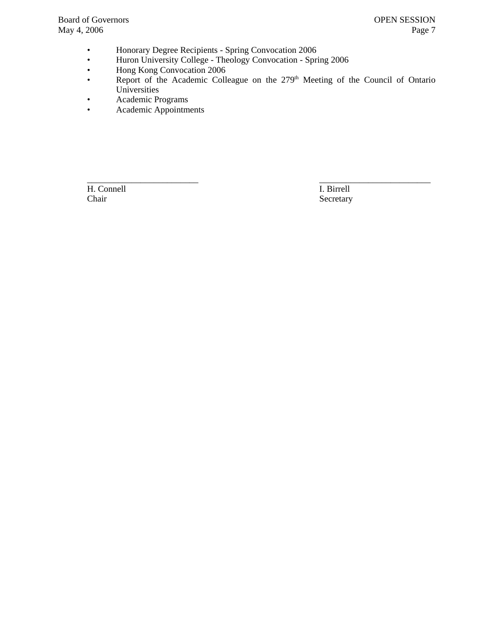- Honorary Degree Recipients Spring Convocation 2006
- Huron University College Theology Convocation Spring 2006
- Hong Kong Convocation 2006
- Report of the Academic Colleague on the 279<sup>th</sup> Meeting of the Council of Ontario Universities
- Academic Programs
- Academic Appointments

\_\_\_\_\_\_\_\_\_\_\_\_\_\_\_\_\_\_\_\_\_\_\_\_\_ \_\_\_\_\_\_\_\_\_\_\_\_\_\_\_\_\_\_\_\_\_\_\_\_\_ H. Connell I. Birrell Chair Secretary Secretary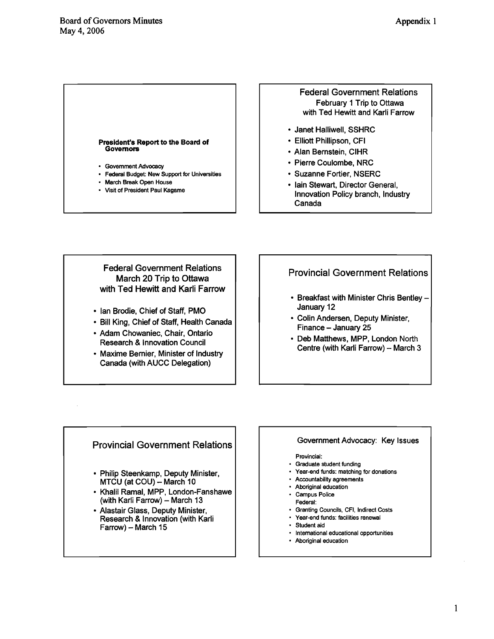#### <span id="page-7-0"></span>**President's Report to the Board of Governors**

- **Government Advocacy**
- **Federal Budget: New Support for Universities**
- **March Break Open House**
- **Visit of President Paul Kagame**

# Federal Government Relations February 1 Trip to Ottawa with Ted Hewitt and Karli Farrow

- Janet Halliwell, SSHRC
- Elliott Phillipson, CFI
- Alan Bernstein, ClHR
- Pierre Coulombe, NRC
- Suzanne Fortier, NSERC
- Iain Stewart, Director General, lnnovation Policy branch, lndustry Canada

# Federal Government Relations March 20 Trip to Ottawa with Ted Hewitt and Karli Farrow

- Ian Brodie, Chief of Staff, PMO
- Bill King, Chief of Staff, Health Canada
- Adam Chowaniec, Chair, Ontario Research & lnnovation Council
- Maxime Bernier, Minister of Industry Canada (with AUCC Delegation)

# Provincial Government Relations

- Breakfast with Minister Chris Bentley -January 12
- Colin Andersen, Deputy Minister, Finance - January 25
- Deb Matthews, MPP, London North Centre (with Karli Farrow) - March 3

# Provincial Government Relations

- Philip Steenkamp, Deputy Minister,  $MTCU$  (at COU) - March 10
- Khalil Ramal, MPP, London-Fanshawe (with Karli Farrow) - March 13
- Alastair Glass, Deputy Minister, Research & lnnovation (with Karli Farrow) - March 15

### Government Advocacy: Key Issues

#### **Provincial:**

- **Graduate student funding**
- **Year-end funds: matching for donations**
- **Accountability agreements**
- **Aboriginal education**
- **Campus Police**
- **Federal:**
- **Granting Councils, CFI, Indirect Costs Year-end funds: facilities renewal**
- **Student aid**
- **International educational opportunities**
- **Aboriginal education**

 $\mathbf{1}$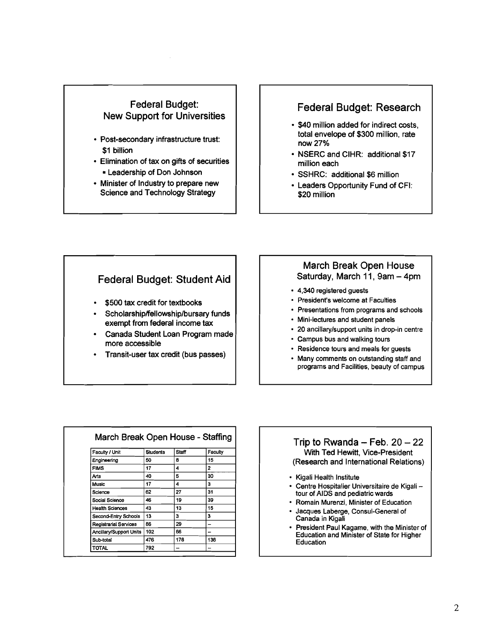# Federal Budget: New Support for Universities

- Post-secondary infrastructure trust: \$1 billion
- Elimination of tax on gifts of securities Leadership of Don Johnson
- Minister of Industry to prepare new Science and Technology Strategy

# Federal Budget: Research

- $\cdot$  \$40 million added for indirect costs, total envelope of \$300 million, rate now 27%
- NSERC and CIHR: additional \$17 million each
- SSHRC: additional \$6 million
- Leaders Opportunity Fund of CFI: \$20 million

# Federal Budget: Student Aid

- \$500 tax credit for textbooks
- **Scholarship/fellowship/bursary** funds exempt from federal income tax
- Canada Student Loan Program made more accessible
- Transit-user tax credit (bus passes)

# March Break Open House Saturday, March 11, 9am - 4pm

- 4,340 registered guests
- President's welcome at Faculties
- Presentations from programs and schools
- Mini-lectures and student panels
- 20 ancillarylsupport units in drop-in centre
- Campus bus and walking tours
- Residence tours and meals for guests
- Many comments on outstanding staff and programs and Facilities, beauty of campus

| Faculty / Unit               | <b>Students</b> | <b>Staff</b> | Faculty |
|------------------------------|-----------------|--------------|---------|
| Engineering                  | 50              | 8            | 15      |
| <b>FIMS</b>                  | 17              | 4            | 2       |
| Arts                         | 40              | 5            | 30      |
| Music                        | 17              | 4            | з       |
| Science                      | 62              | 27           | 31      |
| Social Science               | 46              | 19           | 39      |
| <b>Health Sciences</b>       | 43              | 13           | 15      |
| Second-Entry Schools         | 13              | з            | 3       |
| <b>Registrarial Services</b> | 86              | 29           |         |
| Ancillary/Support Units      | 102             | 66           |         |
| Sub-total                    | 476             | 178          | 138     |
| TOTAL                        | 792             |              |         |

# Trip to Rwanda - Feb.  $20 - 22$ With Ted Hewitt, Vice-President (Research and International Relations)

- Kigali Health Institute
- Centre Hospitalier Universitaire de Kigali --<br>tour of AIDS and pediatric wards
- Romain Murenzi, Minister of Education
- Jacques Laberge, Consul-General of Canada in Kigali
- President Paul Kagame, with the Minister of Education and Minister of State for Higher **Education**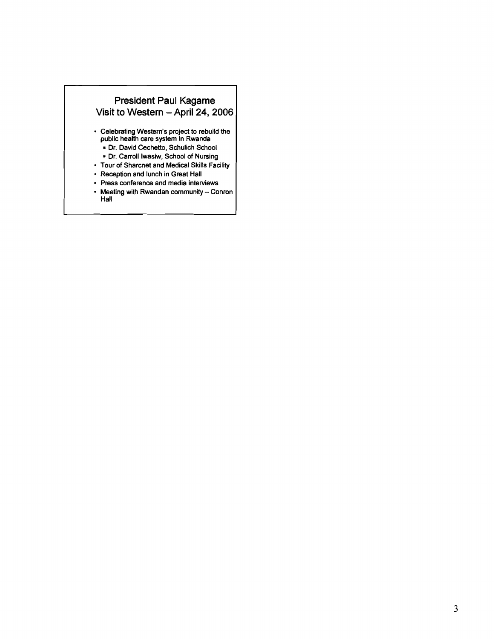

- **Celebrating Western's project to rebuild the public health care system in Rwanda** 
	- = **Dr. David Cechetto, Schulich School**
- **Dr. Carroll Iwasiw, School of Nursing Tour of Sharcnet and Medical Skills Facility**
- **Reception and lunch in Great Hall**
- **Press conference and media interviews**
- **Meeting with Rwandan community Conron Hall**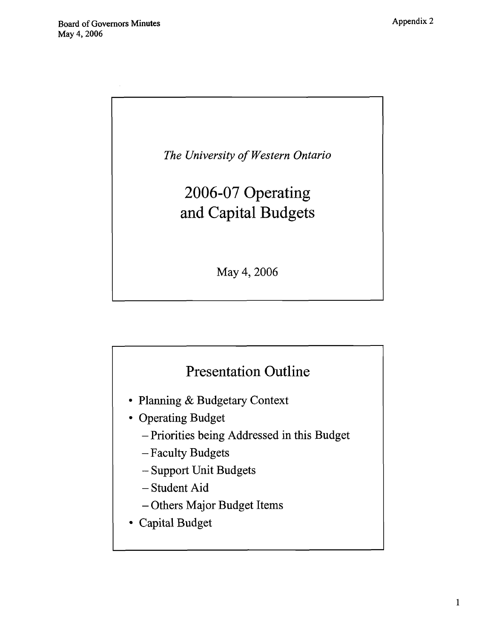<span id="page-10-0"></span>

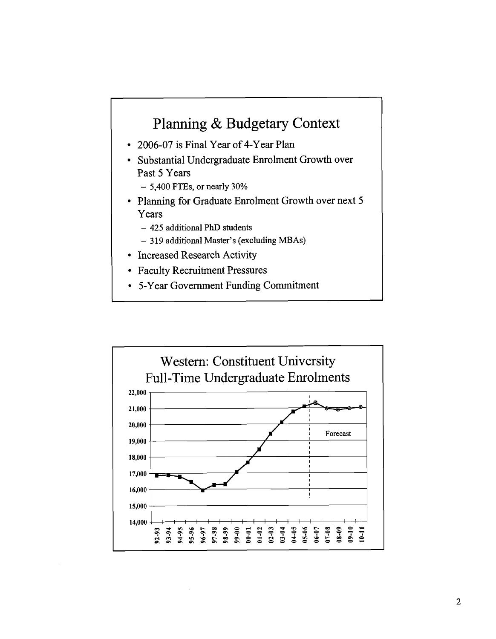# Planning & Budgetary Context

- 2006-07 is Final Year of 4-Year Plan
- Substantial Undergraduate Enrolment Growth over Past 5 Years
	- 5,400 FTEs, or nearly 30%
- Planning for Graduate Enrolment Growth over next 5 Years
	- 425 additional PhD students
	- 319 additional Master's (excluding MBAs)
- Increased Research Activity
- Faculty Recruitment Pressures
- 5-Year Government Funding Commitment

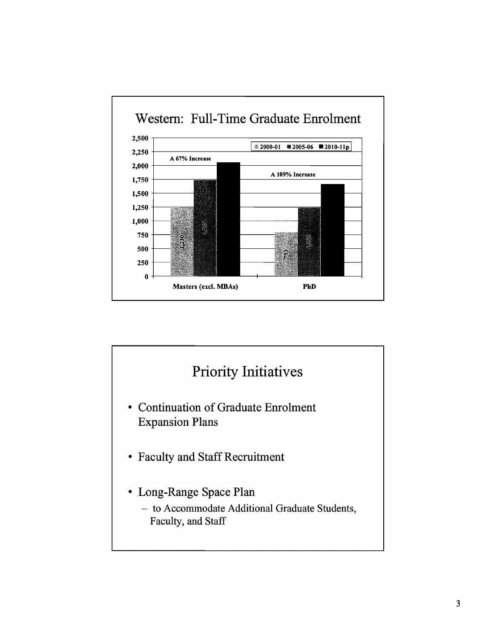

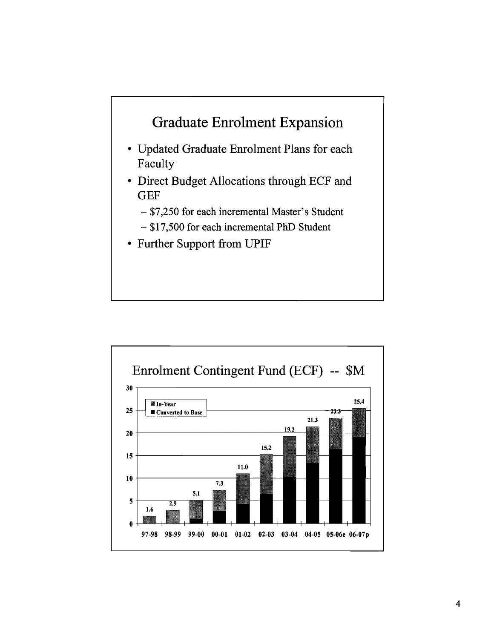

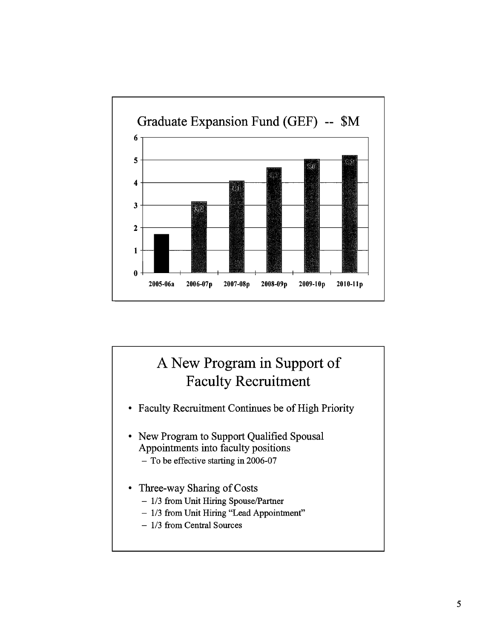

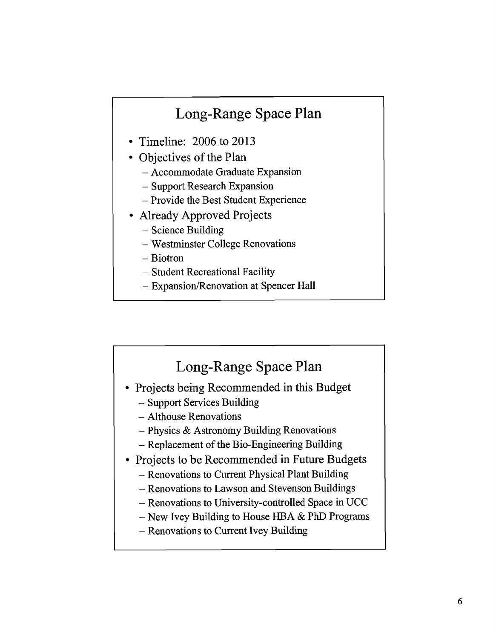# Long-Range Space Plan

- Timeline:  $2006$  to  $2013$
- Objectives of the Plan
	- Accommodate Graduate Expansion
	- Support Research Expansion
	- Provide the Best Student Experience
- Already Approved Projects
	- Science Building
	- Westminster College Renovations
	- Biotron
	- Student Recreational Facility
	- Expansion/Renovation at Spencer Hall

# Long-Range Space Plan • Projects being Recommended in this Budget - Support Services Building - Althouse Renovations - Physics & Astronomy Building Renovations - Replacement of the Bio-Engineering Building • Projects to be Recommended in Future Budgets - Renovations to Current Physical Plant Building - Renovations to Lawson and Stevenson Buildings - Renovations to University-controlled Space in UCC  $-$  New Ivey Building to House HBA & PhD Programs - Renovations to Current Ivey Building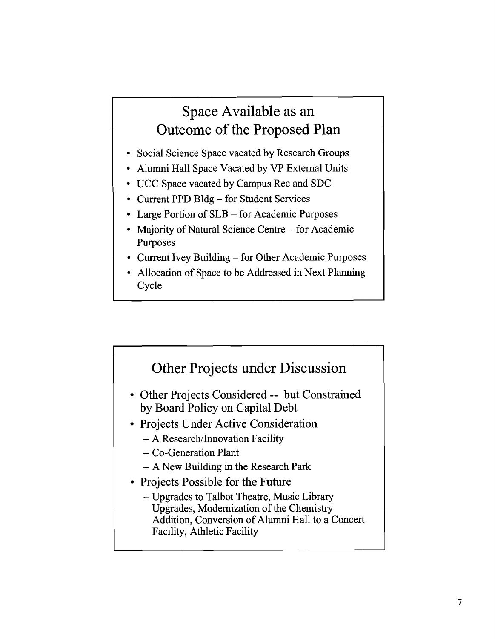# Space Available as an Outcome of the Proposed Plan

- Social Science Space vacated by Research Groups
- Alumni Hall Space Vacated by VP External Units
- UCC Space vacated by Campus Rec and SDC
- Current PPD Bldg for Student Services
- Large Portion of SLB for Academic Purposes
- Majority of Natural Science Centre for Academic Purposes
- Current Ivey Building for Other Academic Purposes
- Allocation of Space to be Addressed in Next Planning Cycle

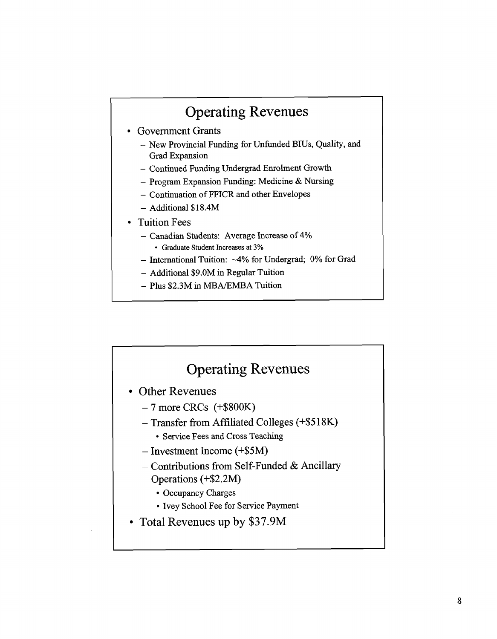# Operating Revenues

- Government Grants
	- New Provincial Funding for Unfunded BIUs, Quality, and Grad Expansion
	- Continued Funding Undergrad Enrolment Growth
	- Program Expansion Funding: Medicine & Nursing
	- Continuation of FFICR and other Envelopes
	- Additional \$18.4M
- Tuition Fees
	- Canadian Students: Average Increase of 4%
		- Graduate Student Increases at **3%**
	- International Tuition: ~4% for Undergrad; 0% for Grad
	- Additional \$9.OM in Regular Tuition
	- $-$  Plus \$2.3M in MBA/EMBA Tuition

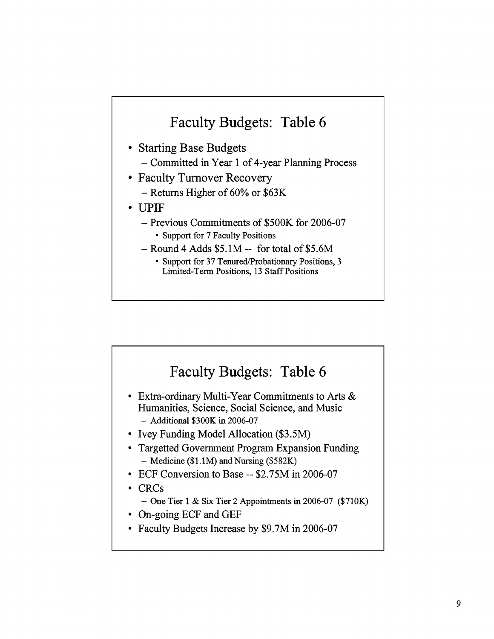# Faculty Budgets: Table 6

- Starting Base Budgets
	- Committed in Year 1 of 4-year Planning Process
- Faculty Turnover Recovery
	- Returns Higher of 60% or \$63K
- UPIF
	- Previous Commitments of \$500K for 2006-07
		- Support for 7 Faculty Positions
	- $-$  Round 4 Adds \$5.1M -- for total of \$5.6M
		- Support for 37 Tenured/Probationary Positions, 3 Limited-Tern Positions, 13 Staff Positions

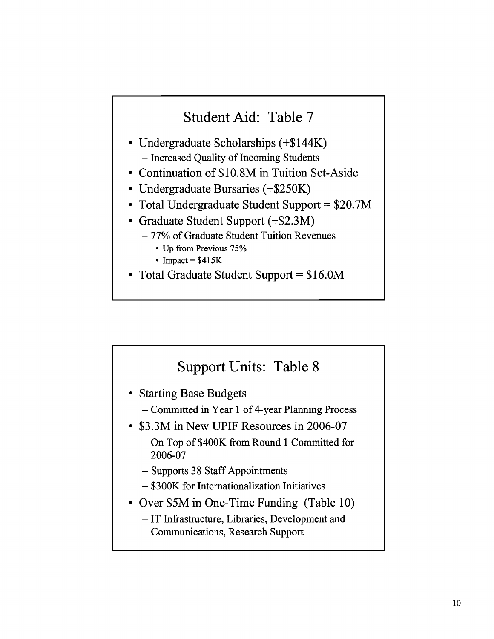# Student Aid: Table 7

- Undergraduate Scholarships (+\$144K) - Increased Quality of Incoming Students
- Continuation of \$10.8M in Tuition Set-Aside
- Undergraduate Bursaries (+\$250K)
- Total Undergraduate Student Support = \$20.7M
- Graduate Student Support (+\$2.3M)
	- 77% of Graduate Student Tuition Revenues
		- Up from Previous 75%
		- $\cdot$  Impact =  $$415K$
- Total Graduate Student Support = \$16.OM

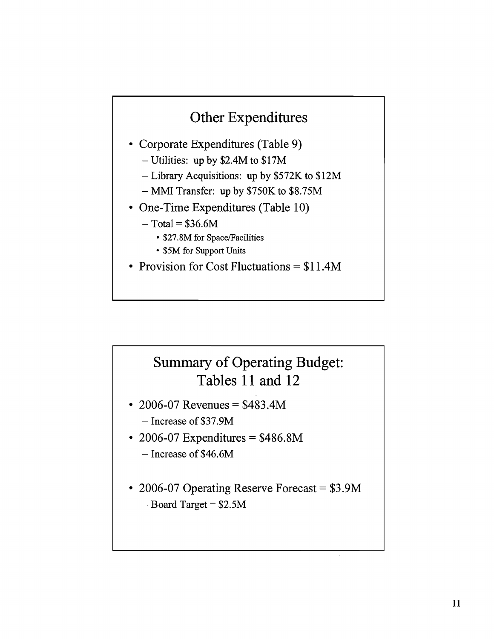# Other Expenditures

- Corporate Expenditures (Table 9)
	- Utilities: up by \$2.4M to \$17M
	- Library Acquisitions: up by \$572K to \$12M
	- MMI Transfer: up by \$750K to \$8.75M
- One-Time Expenditures (Table 10)
	- $-$  Total = \$36.6M
		- \$27.8M for Space/Facilities
		- \$5M for Support Units
- Provision for Cost Fluctuations  $= $11.4M$

# Summary of Operating Budget: Tables 11 and 12

- 2006-07 Revenues =  $$483.4M$ 
	- Increase of \$37.9M
- 2006-07 Expenditures  $= $486.8M$ - Increase of \$46.6M
- 2006-07 Operating Reserve Forecast = \$3.9M  $-$  Board Target = \$2.5M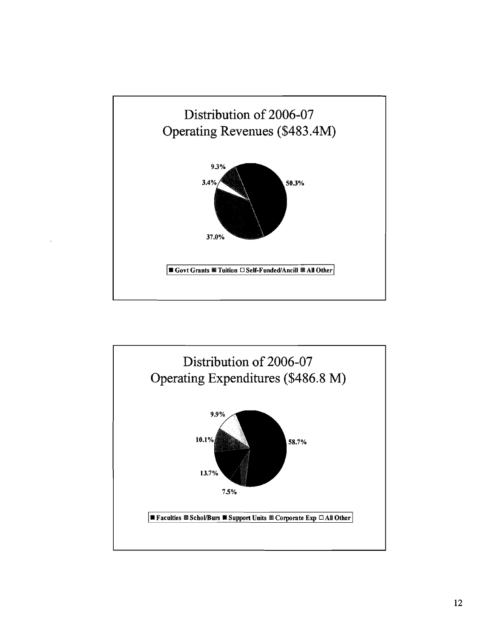

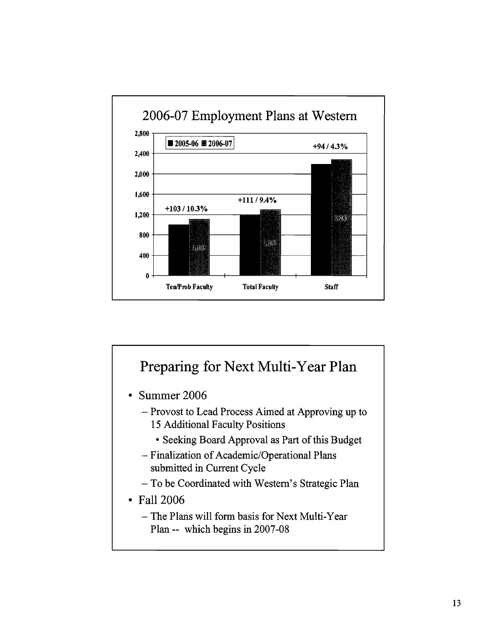

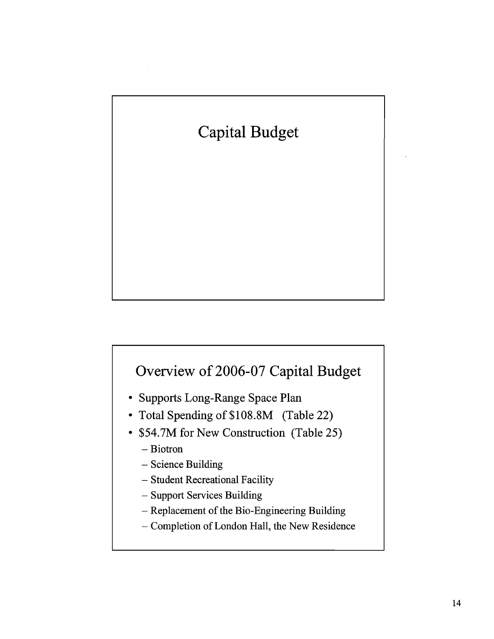

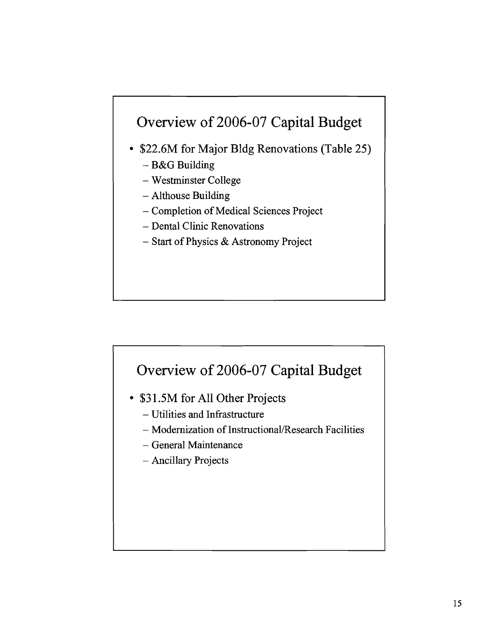# Overview of 2006-07 Capital Budget

- \$22.6M for Major Bldg Renovations (Table 25)
	- B&G Building
	- Westminster College
	- Althouse Building
	- Completion of Medical Sciences Project
	- Dental Clinic Renovations
	- Start of Physics & Astronomy Project



- **\$3** 1.5M for All Other Projects
	- Utilities and Infrastructure
	- Modernization of Instructional/Research Facilities
	- General Maintenance
	- Ancillary Projects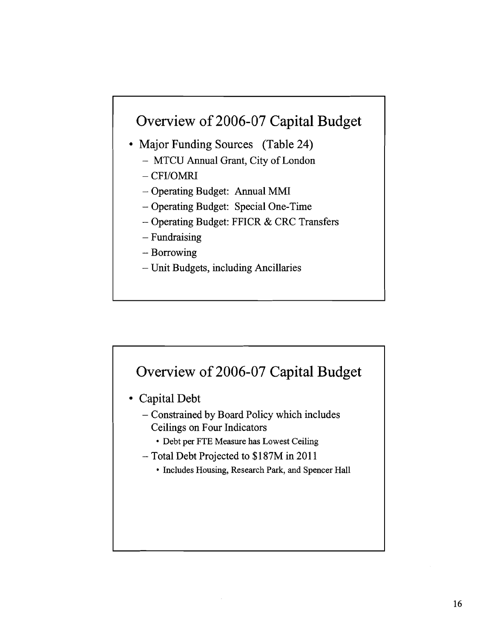# Overview of 2006-07 Capital Budget

- Major Funding Sources (Table 24)
	- MTCU Annual Grant, City of London
	- CFI/OMRI
	- Operating Budget: Annual MMI
	- Operating Budget: Special One-Time
	- Operating Budget: FFICR & CRC Transfers
	- Fundraising
	- Borrowing
	- Unit Budgets, including Ancillaries



- Capital Debt
	- Constrained by Board Policy which includes Ceilings on Four Indicators
		- Debt per FTE Measure has Lowest Ceiling
	- Total Debt Projected to \$187M in 201 1
		- Includes Housing, Research Park, and Spencer Hall